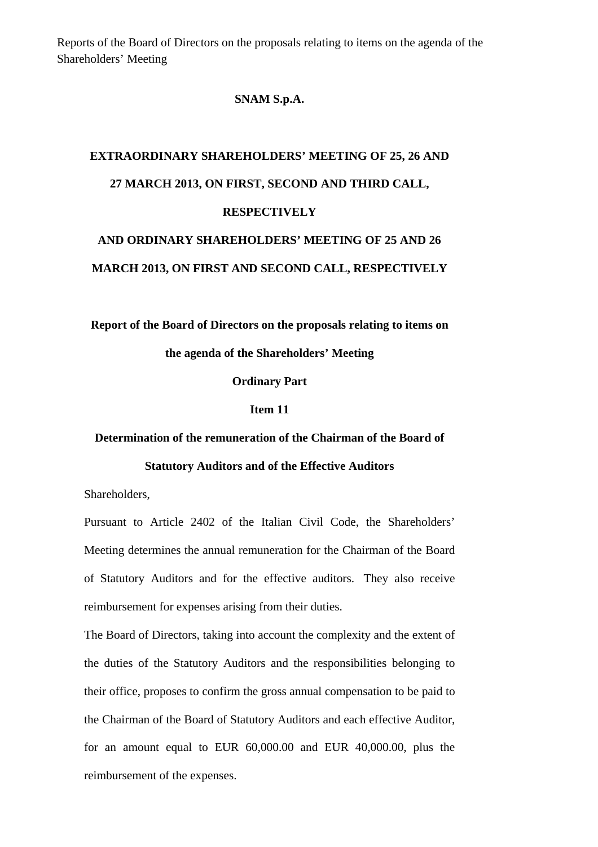Reports of the Board of Directors on the proposals relating to items on the agenda of the Shareholders' Meeting

## **SNAM S.p.A.**

# **EXTRAORDINARY SHAREHOLDERS' MEETING OF 25, 26 AND 27 MARCH 2013, ON FIRST, SECOND AND THIRD CALL, RESPECTIVELY AND ORDINARY SHAREHOLDERS' MEETING OF 25 AND 26**

**MARCH 2013, ON FIRST AND SECOND CALL, RESPECTIVELY** 

**Report of the Board of Directors on the proposals relating to items on** 

**the agenda of the Shareholders' Meeting** 

**Ordinary Part** 

#### **Item 11**

### **Determination of the remuneration of the Chairman of the Board of**

#### **Statutory Auditors and of the Effective Auditors**

Shareholders,

Pursuant to Article 2402 of the Italian Civil Code, the Shareholders' Meeting determines the annual remuneration for the Chairman of the Board of Statutory Auditors and for the effective auditors. They also receive reimbursement for expenses arising from their duties.

The Board of Directors, taking into account the complexity and the extent of the duties of the Statutory Auditors and the responsibilities belonging to their office, proposes to confirm the gross annual compensation to be paid to the Chairman of the Board of Statutory Auditors and each effective Auditor, for an amount equal to EUR 60,000.00 and EUR 40,000.00, plus the reimbursement of the expenses.